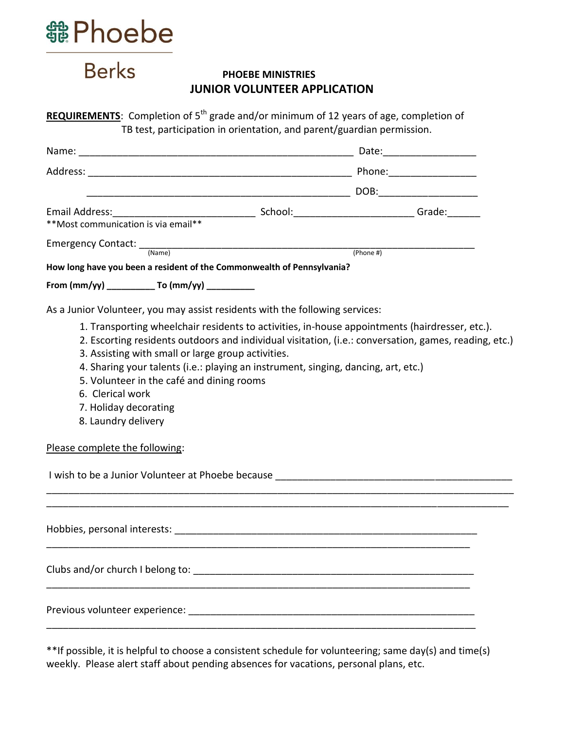

**Berks** 

## **PHOEBE MINISTRIES JUNIOR VOLUNTEER APPLICATION**

| <b>REQUIREMENTS:</b> Completion of 5 <sup>th</sup> grade and/or minimum of 12 years of age, completion of |
|-----------------------------------------------------------------------------------------------------------|
| TB test, participation in orientation, and parent/guardian permission.                                    |

| **Most communication is via email**                                                                                                                                                                                                                                                                                                                                                                                                                                                                                                                                                                                                                                                                     |  |  |
|---------------------------------------------------------------------------------------------------------------------------------------------------------------------------------------------------------------------------------------------------------------------------------------------------------------------------------------------------------------------------------------------------------------------------------------------------------------------------------------------------------------------------------------------------------------------------------------------------------------------------------------------------------------------------------------------------------|--|--|
| Emergency Contact: (Name) (Phone #) (Phone #)<br>How long have you been a resident of the Commonwealth of Pennsylvania?                                                                                                                                                                                                                                                                                                                                                                                                                                                                                                                                                                                 |  |  |
| From (mm/yy) _____________ To (mm/yy) ___________                                                                                                                                                                                                                                                                                                                                                                                                                                                                                                                                                                                                                                                       |  |  |
| As a Junior Volunteer, you may assist residents with the following services:<br>1. Transporting wheelchair residents to activities, in-house appointments (hairdresser, etc.).<br>2. Escorting residents outdoors and individual visitation, (i.e.: conversation, games, reading, etc.)<br>3. Assisting with small or large group activities.<br>4. Sharing your talents (i.e.: playing an instrument, singing, dancing, art, etc.)<br>5. Volunteer in the café and dining rooms<br>6. Clerical work<br>7. Holiday decorating<br>8. Laundry delivery<br>Please complete the following:<br>I wish to be a Junior Volunteer at Phoebe because and the state of the state of the state of the state of the |  |  |
|                                                                                                                                                                                                                                                                                                                                                                                                                                                                                                                                                                                                                                                                                                         |  |  |
|                                                                                                                                                                                                                                                                                                                                                                                                                                                                                                                                                                                                                                                                                                         |  |  |
|                                                                                                                                                                                                                                                                                                                                                                                                                                                                                                                                                                                                                                                                                                         |  |  |

\*\*If possible, it is helpful to choose a consistent schedule for volunteering; same day(s) and time(s) weekly. Please alert staff about pending absences for vacations, personal plans, etc.